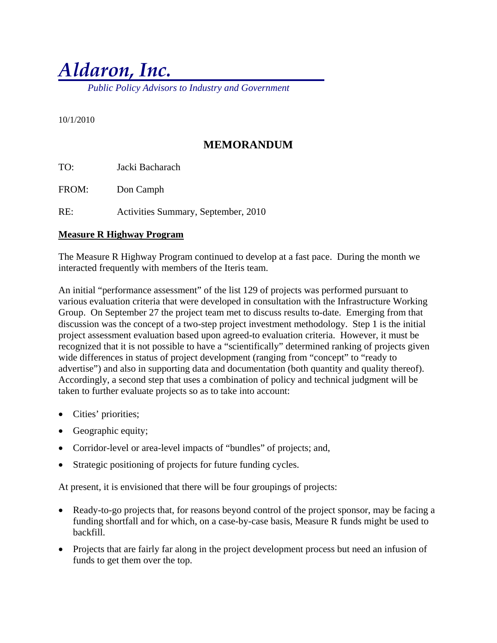# *Aldaron, Inc.*

 *Public Policy Advisors to Industry and Government* 

10/1/2010

# **MEMORANDUM**

TO: Jacki Bacharach

FROM: Don Camph

RE: Activities Summary, September, 2010

#### **Measure R Highway Program**

The Measure R Highway Program continued to develop at a fast pace. During the month we interacted frequently with members of the Iteris team.

An initial "performance assessment" of the list 129 of projects was performed pursuant to various evaluation criteria that were developed in consultation with the Infrastructure Working Group. On September 27 the project team met to discuss results to-date. Emerging from that discussion was the concept of a two-step project investment methodology. Step 1 is the initial project assessment evaluation based upon agreed-to evaluation criteria. However, it must be recognized that it is not possible to have a "scientifically" determined ranking of projects given wide differences in status of project development (ranging from "concept" to "ready to advertise") and also in supporting data and documentation (both quantity and quality thereof). Accordingly, a second step that uses a combination of policy and technical judgment will be taken to further evaluate projects so as to take into account:

- Cities' priorities;
- Geographic equity;
- Corridor-level or area-level impacts of "bundles" of projects; and,
- Strategic positioning of projects for future funding cycles.

At present, it is envisioned that there will be four groupings of projects:

- Ready-to-go projects that, for reasons beyond control of the project sponsor, may be facing a funding shortfall and for which, on a case-by-case basis, Measure R funds might be used to backfill.
- Projects that are fairly far along in the project development process but need an infusion of funds to get them over the top.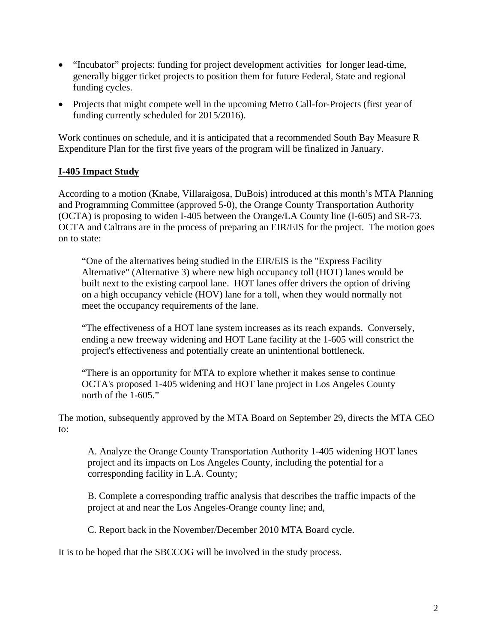- "Incubator" projects: funding for project development activities for longer lead-time, generally bigger ticket projects to position them for future Federal, State and regional funding cycles.
- Projects that might compete well in the upcoming Metro Call-for-Projects (first year of funding currently scheduled for 2015/2016).

Work continues on schedule, and it is anticipated that a recommended South Bay Measure R Expenditure Plan for the first five years of the program will be finalized in January.

## **I-405 Impact Study**

According to a motion (Knabe, Villaraigosa, DuBois) introduced at this month's MTA Planning and Programming Committee (approved 5-0), the Orange County Transportation Authority (OCTA) is proposing to widen I-405 between the Orange/LA County line (I-605) and SR-73. OCTA and Caltrans are in the process of preparing an EIR/EIS for the project. The motion goes on to state:

"One of the alternatives being studied in the EIR/EIS is the "Express Facility Alternative" (Alternative 3) where new high occupancy toll (HOT) lanes would be built next to the existing carpool lane. HOT lanes offer drivers the option of driving on a high occupancy vehicle (HOV) lane for a toll, when they would normally not meet the occupancy requirements of the lane.

"The effectiveness of a HOT lane system increases as its reach expands. Conversely, ending a new freeway widening and HOT Lane facility at the 1-605 will constrict the project's effectiveness and potentially create an unintentional bottleneck.

"There is an opportunity for MTA to explore whether it makes sense to continue OCTA's proposed 1-405 widening and HOT lane project in Los Angeles County north of the 1-605."

The motion, subsequently approved by the MTA Board on September 29, directs the MTA CEO to:

A. Analyze the Orange County Transportation Authority 1-405 widening HOT lanes project and its impacts on Los Angeles County, including the potential for a corresponding facility in L.A. County;

B. Complete a corresponding traffic analysis that describes the traffic impacts of the project at and near the Los Angeles-Orange county line; and,

C. Report back in the November/December 2010 MTA Board cycle.

It is to be hoped that the SBCCOG will be involved in the study process.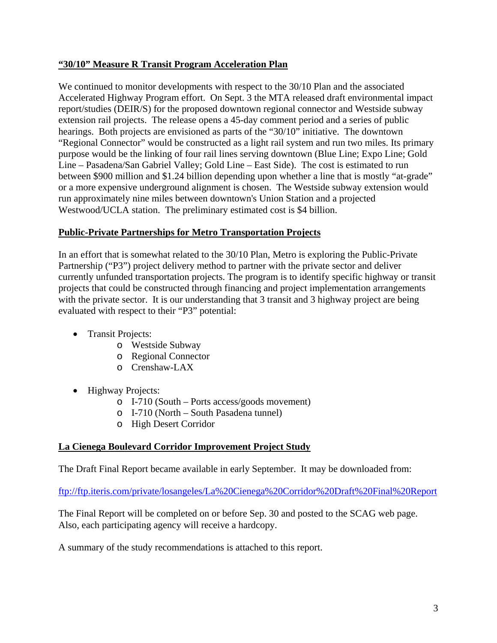# **"30/10" Measure R Transit Program Acceleration Plan**

We continued to monitor developments with respect to the 30/10 Plan and the associated Accelerated Highway Program effort. On Sept. 3 the MTA released draft environmental impact report/studies (DEIR/S) for the proposed downtown regional connector and Westside subway extension rail projects. The release opens a 45-day comment period and a series of public hearings. Both projects are envisioned as parts of the "30/10" initiative. The downtown "Regional Connector" would be constructed as a light rail system and run two miles. Its primary purpose would be the linking of four rail lines serving downtown (Blue Line; Expo Line; Gold Line – Pasadena/San Gabriel Valley; Gold Line – East Side). The cost is estimated to run between \$900 million and \$1.24 billion depending upon whether a line that is mostly "at-grade" or a more expensive underground alignment is chosen. The Westside subway extension would run approximately nine miles between downtown's Union Station and a projected Westwood/UCLA station. The preliminary estimated cost is \$4 billion.

## **Public-Private Partnerships for Metro Transportation Projects**

In an effort that is somewhat related to the 30/10 Plan, Metro is exploring the Public-Private Partnership ("P3") project delivery method to partner with the private sector and deliver currently unfunded transportation projects. The program is to identify specific highway or transit projects that could be constructed through financing and project implementation arrangements with the private sector. It is our understanding that 3 transit and 3 highway project are being evaluated with respect to their "P3" potential:

- Transit Projects:
	- o Westside Subway
	- o Regional Connector
	- o Crenshaw-LAX
- Highway Projects:
	- o I-710 (South Ports access/goods movement)
	- o I-710 (North South Pasadena tunnel)
	- o High Desert Corridor

# **La Cienega Boulevard Corridor Improvement Project Study**

The Draft Final Report became available in early September. It may be downloaded from:

ftp://ftp.iteris.com/private/losangeles/La%20Cienega%20Corridor%20Draft%20Final%20Report

The Final Report will be completed on or before Sep. 30 and posted to the SCAG web page. Also, each participating agency will receive a hardcopy.

A summary of the study recommendations is attached to this report.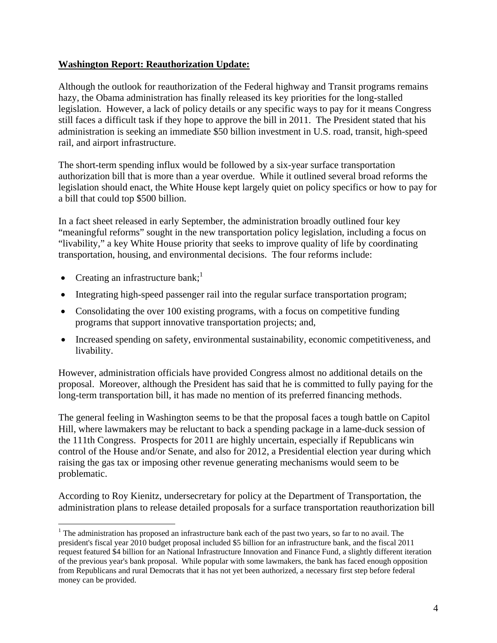## **Washington Report: Reauthorization Update:**

Although the outlook for reauthorization of the Federal highway and Transit programs remains hazy, the Obama administration has finally released its key priorities for the long-stalled legislation. However, a lack of policy details or any specific ways to pay for it means Congress still faces a difficult task if they hope to approve the bill in 2011. The President stated that his administration is seeking an immediate \$50 billion investment in U.S. road, transit, high-speed rail, and airport infrastructure.

The short-term spending influx would be followed by a six-year surface transportation authorization bill that is more than a year overdue. While it outlined several broad reforms the legislation should enact, the White House kept largely quiet on policy specifics or how to pay for a bill that could top \$500 billion.

In a fact sheet released in early September, the administration broadly outlined four key "meaningful reforms" sought in the new transportation policy legislation, including a focus on "livability," a key White House priority that seeks to improve quality of life by coordinating transportation, housing, and environmental decisions. The four reforms include:

- Creating an infrastructure bank;<sup>1</sup>
- Integrating high-speed passenger rail into the regular surface transportation program;
- Consolidating the over 100 existing programs, with a focus on competitive funding programs that support innovative transportation projects; and,
- Increased spending on safety, environmental sustainability, economic competitiveness, and livability.

However, administration officials have provided Congress almost no additional details on the proposal. Moreover, although the President has said that he is committed to fully paying for the long-term transportation bill, it has made no mention of its preferred financing methods.

The general feeling in Washington seems to be that the proposal faces a tough battle on Capitol Hill, where lawmakers may be reluctant to back a spending package in a lame-duck session of the 111th Congress. Prospects for 2011 are highly uncertain, especially if Republicans win control of the House and/or Senate, and also for 2012, a Presidential election year during which raising the gas tax or imposing other revenue generating mechanisms would seem to be problematic.

According to Roy Kienitz, undersecretary for policy at the Department of Transportation, the administration plans to release detailed proposals for a surface transportation reauthorization bill

 $\overline{a}$ <sup>1</sup> The administration has proposed an infrastructure bank each of the past two years, so far to no avail. The president's fiscal year 2010 budget proposal included \$5 billion for an infrastructure bank, and the fiscal 2011 request featured \$4 billion for an National Infrastructure Innovation and Finance Fund, a slightly different iteration of the previous year's bank proposal. While popular with some lawmakers, the bank has faced enough opposition from Republicans and rural Democrats that it has not yet been authorized, a necessary first step before federal money can be provided.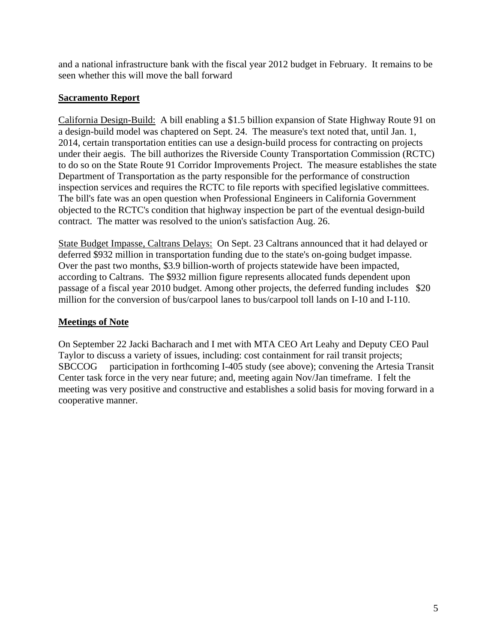and a national infrastructure bank with the fiscal year 2012 budget in February. It remains to be seen whether this will move the ball forward

## **Sacramento Report**

California Design-Build: A bill enabling a \$1.5 billion expansion of State Highway Route 91 on a design-build model was chaptered on Sept. 24. The measure's text noted that, until Jan. 1, 2014, certain transportation entities can use a design-build process for contracting on projects under their aegis. The bill authorizes the Riverside County Transportation Commission (RCTC) to do so on the State Route 91 Corridor Improvements Project. The measure establishes the state Department of Transportation as the party responsible for the performance of construction inspection services and requires the RCTC to file reports with specified legislative committees. The bill's fate was an open question when Professional Engineers in California Government objected to the RCTC's condition that highway inspection be part of the eventual design-build contract. The matter was resolved to the union's satisfaction Aug. 26.

State Budget Impasse, Caltrans Delays: On Sept. 23 Caltrans announced that it had delayed or deferred \$932 million in transportation funding due to the state's on-going budget impasse. Over the past two months, \$3.9 billion-worth of projects statewide have been impacted, according to Caltrans. The \$932 million figure represents allocated funds dependent upon passage of a fiscal year 2010 budget. Among other projects, the deferred funding includes \$20 million for the conversion of bus/carpool lanes to bus/carpool toll lands on I-10 and I-110.

# **Meetings of Note**

On September 22 Jacki Bacharach and I met with MTA CEO Art Leahy and Deputy CEO Paul Taylor to discuss a variety of issues, including: cost containment for rail transit projects; SBCCOG participation in forthcoming I-405 study (see above); convening the Artesia Transit Center task force in the very near future; and, meeting again Nov/Jan timeframe. I felt the meeting was very positive and constructive and establishes a solid basis for moving forward in a cooperative manner.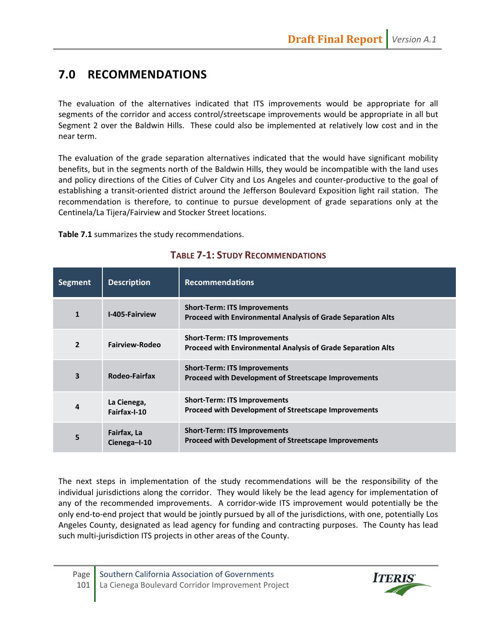# **7.0 RECOMMENDATIONS**

The evaluation of the alternatives indicated that ITS improvements would be appropriate for all segments of the corridor and access control/streetscape improvements would be appropriate in all but Segment 2 over the Baldwin Hills. These could also be implemented at relatively low cost and in the near term.

The evaluation of the grade separation alternatives indicated that the would have significant mobility benefits, but in the segments north of the Baldwin Hills, they would be incompatible with the land uses and policy directions of the Cities of Culver City and Los Angeles and counter‐productive to the goal of establishing a transit‐oriented district around the Jefferson Boulevard Exposition light rail station. The recommendation is therefore, to continue to pursue development of grade separations only at the Centinela/La Tijera/Fairview and Stocker Street locations.

**Table 7.1** summarizes the study recommendations.

| <b>Segment</b> | <b>Description</b>          | <b>Recommendations</b>                                                                                     |
|----------------|-----------------------------|------------------------------------------------------------------------------------------------------------|
| $\mathbf{1}$   | <b>I-405-Fairview</b>       | <b>Short-Term: ITS Improvements</b><br><b>Proceed with Environmental Analysis of Grade Separation Alts</b> |
| $\overline{2}$ | Fairview-Rodeo              | <b>Short-Term: ITS Improvements</b><br><b>Proceed with Environmental Analysis of Grade Separation Alts</b> |
| 3              | Rodeo-Fairfax               | <b>Short-Term: ITS Improvements</b><br><b>Proceed with Development of Streetscape Improvements</b>         |
| 4              | La Cienega,<br>Fairfax-I-10 | <b>Short-Term: ITS Improvements</b><br><b>Proceed with Development of Streetscape Improvements</b>         |
| 5              | Fairfax, La<br>Cienega-I-10 | <b>Short-Term: ITS Improvements</b><br><b>Proceed with Development of Streetscape Improvements</b>         |

# **TABLE 7‐1: STUDY RECOMMENDATIONS**

The next steps in implementation of the study recommendations will be the responsibility of the individual jurisdictions along the corridor. They would likely be the lead agency for implementation of any of the recommended improvements. A corridor-wide ITS improvement would potentially be the only end‐to‐end project that would be jointly pursued by all of the jurisdictions, with one, potentially Los Angeles County, designated as lead agency for funding and contracting purposes. The County has lead such multi-jurisdiction ITS projects in other areas of the County.